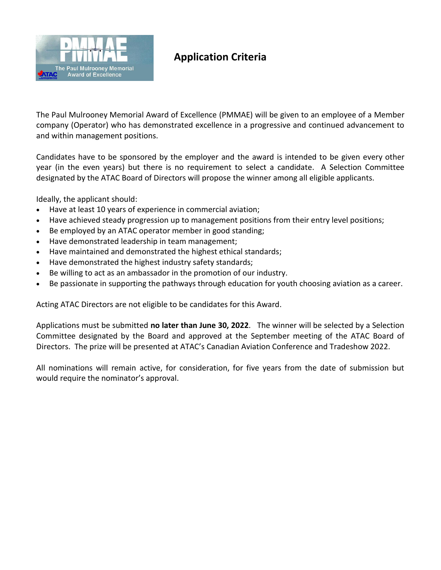

## **Application Criteria**

The Paul Mulrooney Memorial Award of Excellence (PMMAE) will be given to an employee of a Member company (Operator) who has demonstrated excellence in a progressive and continued advancement to and within management positions.

Candidates have to be sponsored by the employer and the award is intended to be given every other year (in the even years) but there is no requirement to select a candidate. A Selection Committee designated by the ATAC Board of Directors will propose the winner among all eligible applicants.

Ideally, the applicant should:

- Have at least 10 years of experience in commercial aviation;
- Have achieved steady progression up to management positions from their entry level positions;
- Be employed by an ATAC operator member in good standing;
- Have demonstrated leadership in team management;
- Have maintained and demonstrated the highest ethical standards;
- Have demonstrated the highest industry safety standards;
- Be willing to act as an ambassador in the promotion of our industry.
- Be passionate in supporting the pathways through education for youth choosing aviation as a career.

Acting ATAC Directors are not eligible to be candidates for this Award.

Applications must be submitted **no later than June 30, 2022**. The winner will be selected by a Selection Committee designated by the Board and approved at the September meeting of the ATAC Board of Directors. The prize will be presented at ATAC's Canadian Aviation Conference and Tradeshow 2022.

All nominations will remain active, for consideration, for five years from the date of submission but would require the nominator's approval.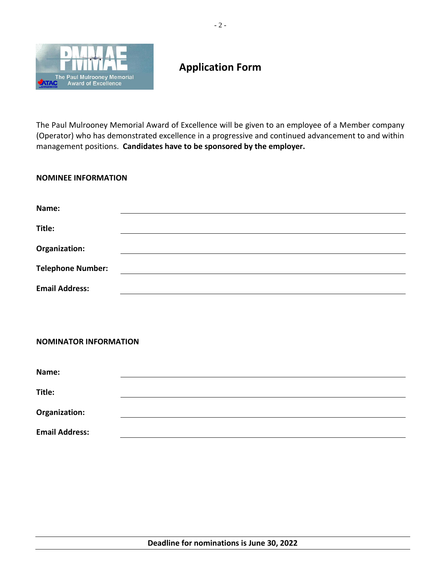

## **Application Form**

The Paul Mulrooney Memorial Award of Excellence will be given to an employee of a Member company (Operator) who has demonstrated excellence in a progressive and continued advancement to and within management positions. **Candidates have to be sponsored by the employer.**

## **NOMINEE INFORMATION**

| Name:                        |  |  |  |  |  |  |
|------------------------------|--|--|--|--|--|--|
| Title:                       |  |  |  |  |  |  |
| Organization:                |  |  |  |  |  |  |
| <b>Telephone Number:</b>     |  |  |  |  |  |  |
| <b>Email Address:</b>        |  |  |  |  |  |  |
|                              |  |  |  |  |  |  |
|                              |  |  |  |  |  |  |
| <b>NOMINATOR INFORMATION</b> |  |  |  |  |  |  |
| Name:                        |  |  |  |  |  |  |
|                              |  |  |  |  |  |  |
| Title:                       |  |  |  |  |  |  |
| Organization:                |  |  |  |  |  |  |
| <b>Email Address:</b>        |  |  |  |  |  |  |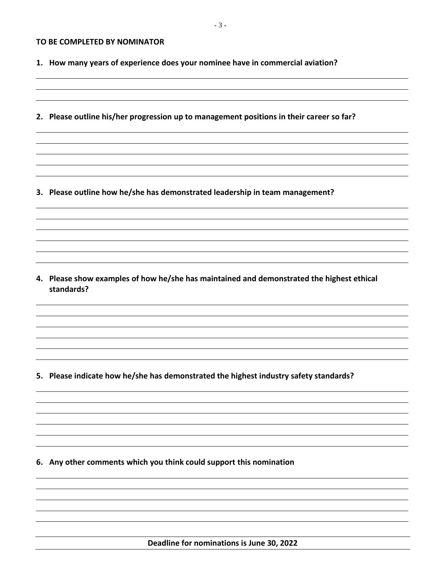**TO BE COMPLETED BY NOMINATOR**

|  | 1. How many years of experience does your nominee have in commercial aviation? |  |  |  |  |
|--|--------------------------------------------------------------------------------|--|--|--|--|
|--|--------------------------------------------------------------------------------|--|--|--|--|

**2. Please outline his/her progression up to management positions in their career so far?**

**3. Please outline how he/she has demonstrated leadership in team management?**

**4. Please show examples of how he/she has maintained and demonstrated the highest ethical standards?**

**5. Please indicate how he/she has demonstrated the highest industry safety standards?**

**6. Any other comments which you think could support this nomination**